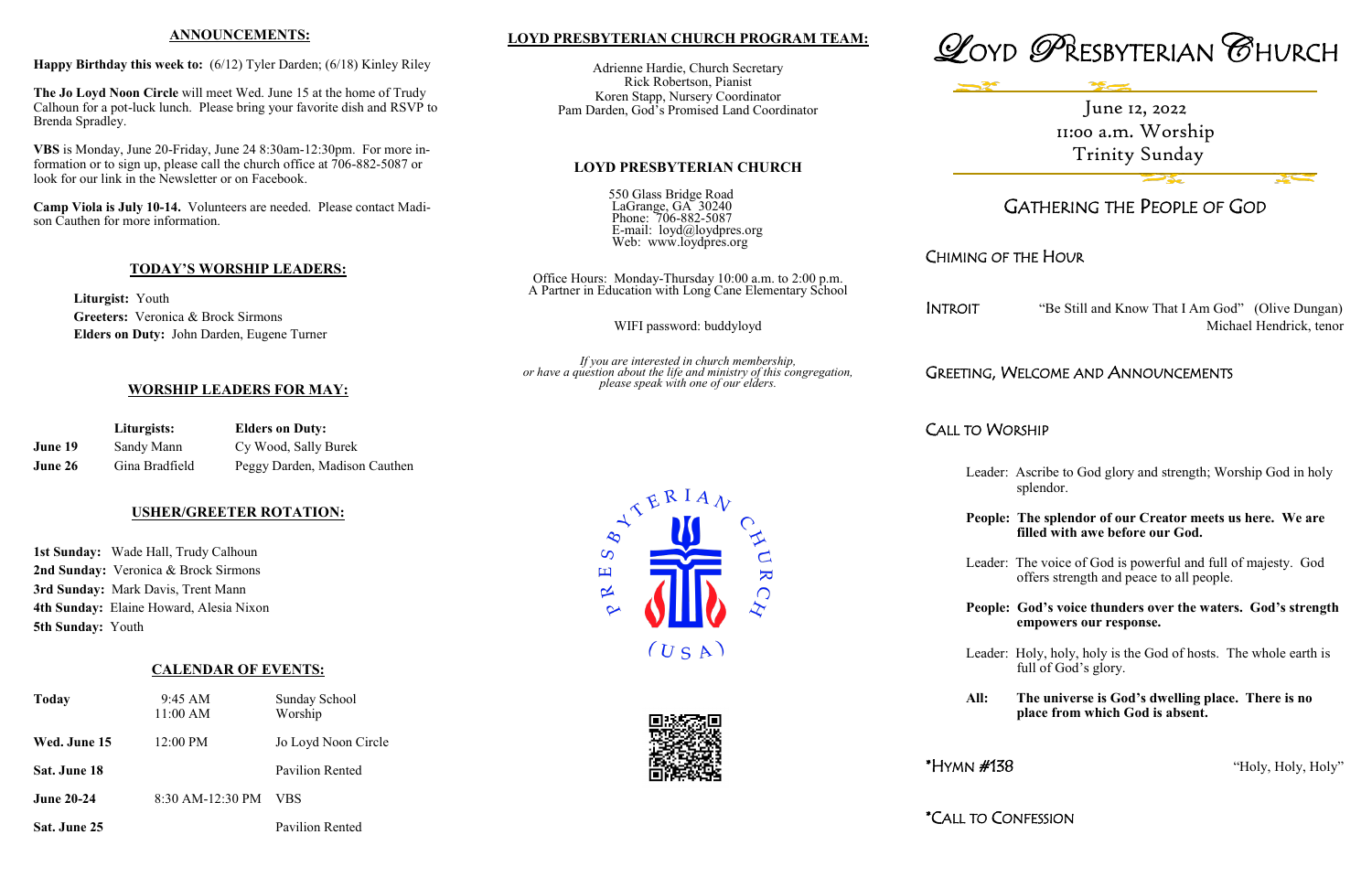# **LOYD PRESBYTERIAN CHURCH PROGRAM TEAM:**

Adrienne Hardie, Church Secretary Rick Robertson, Pianist Koren Stapp, Nursery Coordinator Pam Darden, God's Promised Land Coordinator

#### **LOYD PRESBYTERIAN CHURCH**

550 Glass Bridge Road LaGrange, GA 30240 Phone: 706-882-5087 E-mail:  $\log d(\partial \log Q)$ Web: www.loydpres.org

Office Hours: Monday-Thursday 10:00 a.m. to 2:00 p.m. A Partner in Education with Long Cane Elementary School

> INTROIT "Be Still and Know That I Am God" (Olive Dungan) Michael Hendrick, tenor

WIFI password: buddyloyd

*If you are interested in church membership, or have a question about the life and ministry of this congregation, please speak with one of our elders.*





# GATHERING THE PEOPLE OF GOD

# CHIMING OF THE HOUR

# GREETING, WELCOME AND ANNOUNCEMENTS

# CALL TO WORSHIP

- Leader: Ascribe to God glory and strength; Worship God in holy splendor.
- **People: The splendor of our Creator meets us here. We are filled with awe before our God.**
- Leader: The voice of God is powerful and full of majesty. God offers strength and peace to all people.
- **People: God's voice thunders over the waters. God's strength empowers our response.**

Leader: Holy, holy, holy is the God of hosts. The whole earth is full of God's glory.

**All: The universe is God's dwelling place. There is no place from which God is absent.**

 $*HYMN \#138$  "Holy, Holy, Holy"

\*CALL TO CONFESSION



 $\mathbf{K}$ 

#### **ANNOUNCEMENTS:**

**Happy Birthday this week to:** (6/12) Tyler Darden; (6/18) Kinley Riley

**The Jo Loyd Noon Circle** will meet Wed. June 15 at the home of Trudy Calhoun for a pot-luck lunch. Please bring your favorite dish and RSVP to Brenda Spradley.

**VBS** is Monday, June 20-Friday, June 24 8:30am-12:30pm. For more information or to sign up, please call the church office at 706-882-5087 or look for our link in the Newsletter or on Facebook.

**Camp Viola is July 10-14.** Volunteers are needed. Please contact Madison Cauthen for more information.

## **TODAY'S WORSHIP LEADERS:**

**Liturgist:** Youth **Greeters:** Veronica & Brock Sirmons **Elders on Duty:** John Darden, Eugene Turner

## **WORSHIP LEADERS FOR MAY:**

|         | Liturgists:    | <b>Elders on Duty:</b>        |
|---------|----------------|-------------------------------|
| June 19 | Sandy Mann     | Cy Wood, Sally Burek          |
| June 26 | Gina Bradfield | Peggy Darden, Madison Cauthen |

## **USHER/GREETER ROTATION:**

**1st Sunday:** Wade Hall, Trudy Calhoun **2nd Sunday:** Veronica & Brock Sirmons **3rd Sunday:** Mark Davis, Trent Mann **4th Sunday:** Elaine Howard, Alesia Nixon **5th Sunday:** Youth

## **CALENDAR OF EVENTS:**

| <b>Today</b>      | 9:45 AM<br>$11:00$ AM | <b>Sunday School</b><br>Worship |
|-------------------|-----------------------|---------------------------------|
| Wed. June 15      | 12:00 PM              | Jo Loyd Noon Circle             |
| Sat. June 18      |                       | Pavilion Rented                 |
| <b>June 20-24</b> | 8:30 AM-12:30 PM      | VBS                             |
| Sat. June 25      |                       | Pavilion Rented                 |

June 12, 2022 11:00 a.m. Worship Trinity Sunday